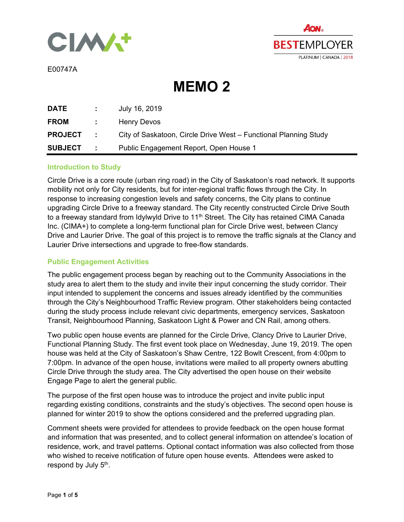



E00747A

**MEMO 2** 

| DATE           | di se                | July 16, 2019                                                    |
|----------------|----------------------|------------------------------------------------------------------|
| <b>FROM</b>    | <b>Contractor</b>    | <b>Henry Devos</b>                                               |
| <b>PROJECT</b> | <b>COLLECTION</b>    | City of Saskatoon, Circle Drive West – Functional Planning Study |
| <b>SUBJECT</b> | <b>Service</b> State | Public Engagement Report, Open House 1                           |

## **Introduction to Study**

Circle Drive is a core route (urban ring road) in the City of Saskatoon's road network. It supports mobility not only for City residents, but for inter-regional traffic flows through the City. In response to increasing congestion levels and safety concerns, the City plans to continue upgrading Circle Drive to a freeway standard. The City recently constructed Circle Drive South to a freeway standard from Idylwyld Drive to 11<sup>th</sup> Street. The City has retained CIMA Canada Inc. (CIMA+) to complete a long-term functional plan for Circle Drive west, between Clancy Drive and Laurier Drive. The goal of this project is to remove the traffic signals at the Clancy and Laurier Drive intersections and upgrade to free-flow standards.

## **Public Engagement Activities**

The public engagement process began by reaching out to the Community Associations in the study area to alert them to the study and invite their input concerning the study corridor. Their input intended to supplement the concerns and issues already identified by the communities through the City's Neighbourhood Traffic Review program. Other stakeholders being contacted during the study process include relevant civic departments, emergency services, Saskatoon Transit, Neighbourhood Planning, Saskatoon Light & Power and CN Rail, among others.

Two public open house events are planned for the Circle Drive, Clancy Drive to Laurier Drive, Functional Planning Study. The first event took place on Wednesday, June 19, 2019. The open house was held at the City of Saskatoon's Shaw Centre, 122 Bowlt Crescent, from 4:00pm to 7:00pm. In advance of the open house, invitations were mailed to all property owners abutting Circle Drive through the study area. The City advertised the open house on their website Engage Page to alert the general public.

The purpose of the first open house was to introduce the project and invite public input regarding existing conditions, constraints and the study's objectives. The second open house is planned for winter 2019 to show the options considered and the preferred upgrading plan.

Comment sheets were provided for attendees to provide feedback on the open house format and information that was presented, and to collect general information on attendee's location of residence, work, and travel patterns. Optional contact information was also collected from those who wished to receive notification of future open house events. Attendees were asked to respond by July 5<sup>th</sup>.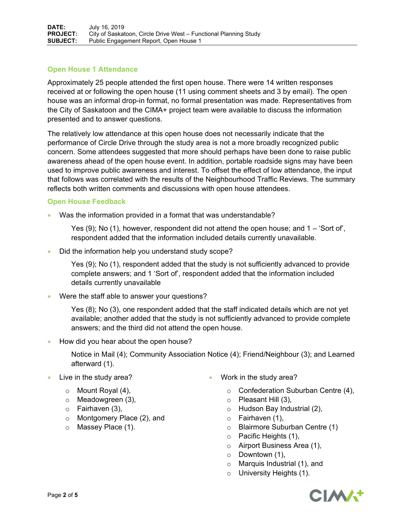# **Open House 1 Attendance**

Approximately 25 people attended the first open house. There were 14 written responses received at or following the open house (11 using comment sheets and 3 by email). The open house was an informal drop-in format, no formal presentation was made. Representatives from the City of Saskatoon and the CIMA+ project team were available to discuss the information presented and to answer questions.

The relatively low attendance at this open house does not necessarily indicate that the performance of Circle Drive through the study area is not a more broadly recognized public concern. Some attendees suggested that more should perhaps have been done to raise public awareness ahead of the open house event. In addition, portable roadside signs may have been used to improve public awareness and interest. To offset the effect of low attendance, the input that follows was correlated with the results of the Neighbourhood Traffic Reviews. The summary reflects both written comments and discussions with open house attendees.

## **Open House Feedback**

Was the information provided in a format that was understandable?

Yes (9); No (1), however, respondent did not attend the open house; and 1 – 'Sort of', respondent added that the information included details currently unavailable.

Did the information help you understand study scope?

Yes (9); No (1), respondent added that the study is not sufficiently advanced to provide complete answers; and 1 'Sort of', respondent added that the information included details currently unavailable

Were the staff able to answer your questions?

Yes (8); No (3), one respondent added that the staff indicated details which are not yet available; another added that the study is not sufficiently advanced to provide complete answers; and the third did not attend the open house.

How did you hear about the open house?

Notice in Mail (4); Community Association Notice (4); Friend/Neighbour (3); and Learned afterward (1).

- Live in the study area?
	- $\circ$  Mount Royal (4),
	- o Meadowgreen (3),
	- $\circ$  Fairhaven (3),
	- o Montgomery Place (2), and
	- o Massey Place (1).
- Work in the study area?
	- o Confederation Suburban Centre (4),
	- o Pleasant Hill (3),
	- o Hudson Bay Industrial (2),
	- $\circ$  Fairhaven (1),
	- o Blairmore Suburban Centre (1)
	- o Pacific Heights (1),
	- o Airport Business Area (1),
	- $\circ$  Downtown (1),
	- o Marquis Industrial (1), and
	- o University Heights (1).

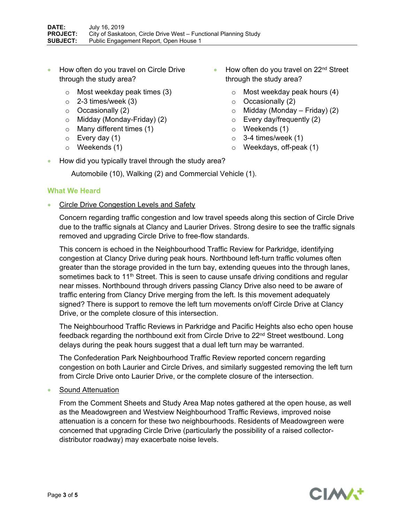- How often do you travel on Circle Drive through the study area?
	- o Most weekday peak times (3)
	- $\circ$  2-3 times/week (3)
	- o Occasionally (2)
	- o Midday (Monday-Friday) (2)
	- o Many different times (1)
	- $\circ$  Every day (1)
	- o Weekends (1)
- $\bullet$  How often do you travel on 22<sup>nd</sup> Street through the study area?
	- o Most weekday peak hours (4)
	- o Occasionally (2)
	- $\circ$  Midday (Monday Friday) (2)
	- o Every day/frequently (2)
	- o Weekends (1)
	- $\circ$  3-4 times/week (1)
	- o Weekdays, off-peak (1)
- How did you typically travel through the study area?

Automobile (10), Walking (2) and Commercial Vehicle (1).

## **What We Heard**

Circle Drive Congestion Levels and Safety

Concern regarding traffic congestion and low travel speeds along this section of Circle Drive due to the traffic signals at Clancy and Laurier Drives. Strong desire to see the traffic signals removed and upgrading Circle Drive to free-flow standards.

This concern is echoed in the Neighbourhood Traffic Review for Parkridge, identifying congestion at Clancy Drive during peak hours. Northbound left-turn traffic volumes often greater than the storage provided in the turn bay, extending queues into the through lanes, sometimes back to 11<sup>th</sup> Street. This is seen to cause unsafe driving conditions and regular near misses. Northbound through drivers passing Clancy Drive also need to be aware of traffic entering from Clancy Drive merging from the left. Is this movement adequately signed? There is support to remove the left turn movements on/off Circle Drive at Clancy Drive, or the complete closure of this intersection.

The Neighbourhood Traffic Reviews in Parkridge and Pacific Heights also echo open house feedback regarding the northbound exit from Circle Drive to 22<sup>nd</sup> Street westbound. Long delays during the peak hours suggest that a dual left turn may be warranted.

The Confederation Park Neighbourhood Traffic Review reported concern regarding congestion on both Laurier and Circle Drives, and similarly suggested removing the left turn from Circle Drive onto Laurier Drive, or the complete closure of the intersection.

Sound Attenuation

From the Comment Sheets and Study Area Map notes gathered at the open house, as well as the Meadowgreen and Westview Neighbourhood Traffic Reviews, improved noise attenuation is a concern for these two neighbourhoods. Residents of Meadowgreen were concerned that upgrading Circle Drive (particularly the possibility of a raised collectordistributor roadway) may exacerbate noise levels.

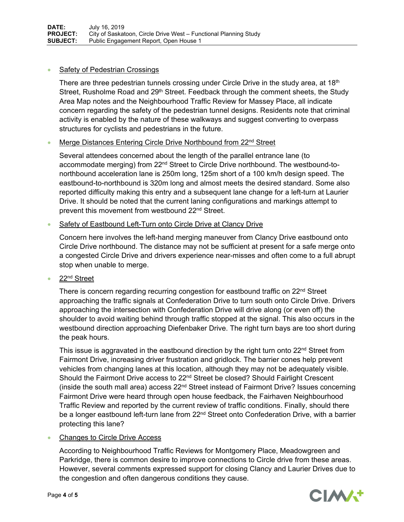#### Safety of Pedestrian Crossings

There are three pedestrian tunnels crossing under Circle Drive in the study area, at  $18<sup>th</sup>$ Street, Rusholme Road and 29<sup>th</sup> Street. Feedback through the comment sheets, the Study Area Map notes and the Neighbourhood Traffic Review for Massey Place, all indicate concern regarding the safety of the pedestrian tunnel designs. Residents note that criminal activity is enabled by the nature of these walkways and suggest converting to overpass structures for cyclists and pedestrians in the future.

## Merge Distances Entering Circle Drive Northbound from 22nd Street

Several attendees concerned about the length of the parallel entrance lane (to accommodate merging) from 22nd Street to Circle Drive northbound. The westbound-tonorthbound acceleration lane is 250m long, 125m short of a 100 km/h design speed. The eastbound-to-northbound is 320m long and almost meets the desired standard. Some also reported difficulty making this entry and a subsequent lane change for a left-turn at Laurier Drive. It should be noted that the current laning configurations and markings attempt to prevent this movement from westbound 22<sup>nd</sup> Street.

## Safety of Eastbound Left-Turn onto Circle Drive at Clancy Drive

Concern here involves the left-hand merging maneuver from Clancy Drive eastbound onto Circle Drive northbound. The distance may not be sufficient at present for a safe merge onto a congested Circle Drive and drivers experience near-misses and often come to a full abrupt stop when unable to merge.

22nd Street

There is concern regarding recurring congestion for eastbound traffic on  $22<sup>nd</sup>$  Street approaching the traffic signals at Confederation Drive to turn south onto Circle Drive. Drivers approaching the intersection with Confederation Drive will drive along (or even off) the shoulder to avoid waiting behind through traffic stopped at the signal. This also occurs in the westbound direction approaching Diefenbaker Drive. The right turn bays are too short during the peak hours.

This issue is aggravated in the eastbound direction by the right turn onto  $22^{nd}$  Street from Fairmont Drive, increasing driver frustration and gridlock. The barrier cones help prevent vehicles from changing lanes at this location, although they may not be adequately visible. Should the Fairmont Drive access to 22<sup>nd</sup> Street be closed? Should Fairlight Crescent (inside the south mall area) access 22nd Street instead of Fairmont Drive? Issues concerning Fairmont Drive were heard through open house feedback, the Fairhaven Neighbourhood Traffic Review and reported by the current review of traffic conditions. Finally, should there be a longer eastbound left-turn lane from 22<sup>nd</sup> Street onto Confederation Drive, with a barrier protecting this lane?

## Changes to Circle Drive Access

According to Neighbourhood Traffic Reviews for Montgomery Place, Meadowgreen and Parkridge, there is common desire to improve connections to Circle drive from these areas. However, several comments expressed support for closing Clancy and Laurier Drives due to the congestion and often dangerous conditions they cause.